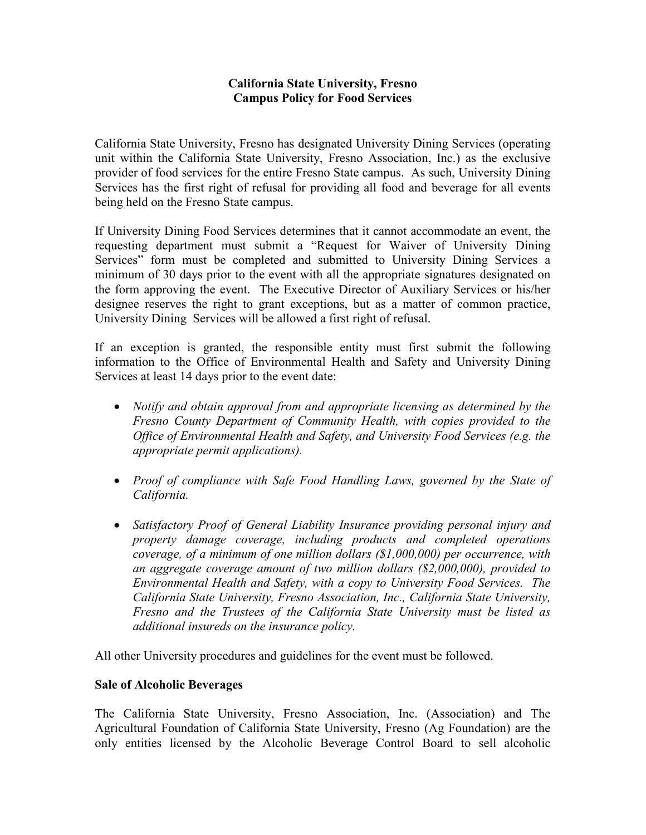## **California State University, Fresno Campus Policy for Food Services**

California State University, Fresno has designated University Dining Services (operating unit within the California State University, Fresno Association, Inc.) as the exclusive provider of food services for the entire Fresno State campus. As such, University Dining Services has the first right of refusal for providing all food and beverage for all events being held on the Fresno State campus.

If University Dining Food Services determines that it cannot accommodate an event, the requesting department must submit a "Request for Waiver of University Dining Services" form must be completed and submitted to University Dining Services a minimum of 30 days prior to the event with all the appropriate signatures designated on the form approving the event. The Executive Director of Auxiliary Services or his/her designee reserves the right to grant exceptions, but as a matter of common practice, University Dining Services will be allowed a first right of refusal.

If an exception is granted, the responsible entity must first submit the following information to the Office of Environmental Health and Safety and University Dining Services at least 14 days prior to the event date:

- *Notify and obtain approval from and appropriate licensing as determined by the Fresno County Department of Community Health, with copies provided to the Office of Environmental Health and Safety, and University Food Services (e.g. the appropriate permit applications).*
- *Proof of compliance with Safe Food Handling Laws, governed by the State of California.*
- *Satisfactory Proof of General Liability Insurance providing personal injury and property damage coverage, including products and completed operations coverage, of a minimum of one million dollars (\$1,000,000) per occurrence, with an aggregate coverage amount of two million dollars (\$2,000,000), provided to Environmental Health and Safety, with a copy to University Food Services. The California State University, Fresno Association, Inc., California State University, Fresno and the Trustees of the California State University must be listed as additional insureds on the insurance policy.*

All other University procedures and guidelines for the event must be followed.

## **Sale of Alcoholic Beverages**

The California State University, Fresno Association, Inc. (Association) and The Agricultural Foundation of California State University, Fresno (Ag Foundation) are the only entities licensed by the Alcoholic Beverage Control Board to sell alcoholic